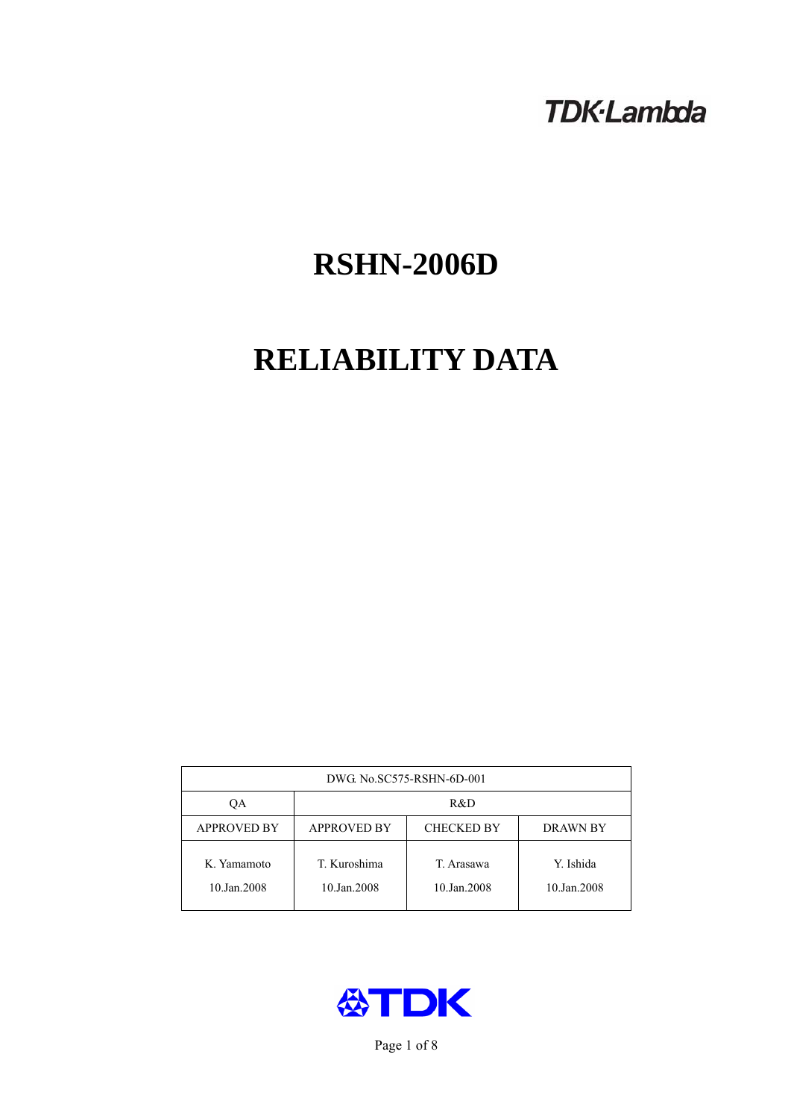## **TDK-Lambda**

# **RSHN-2006D**

# **RELIABILITY DATA**

| DWG No.SC575-RSHN-6D-001   |                                                     |                           |                          |  |  |
|----------------------------|-----------------------------------------------------|---------------------------|--------------------------|--|--|
| OА                         | R&D                                                 |                           |                          |  |  |
| <b>APPROVED BY</b>         | <b>APPROVED BY</b><br><b>CHECKED BY</b><br>DRAWN BY |                           |                          |  |  |
| K. Yamamoto<br>10.Jan.2008 | T. Kuroshima<br>10.Jan.2008                         | T. Arasawa<br>10.Jan.2008 | Y. Ishida<br>10.Jan.2008 |  |  |



Page 1 of 8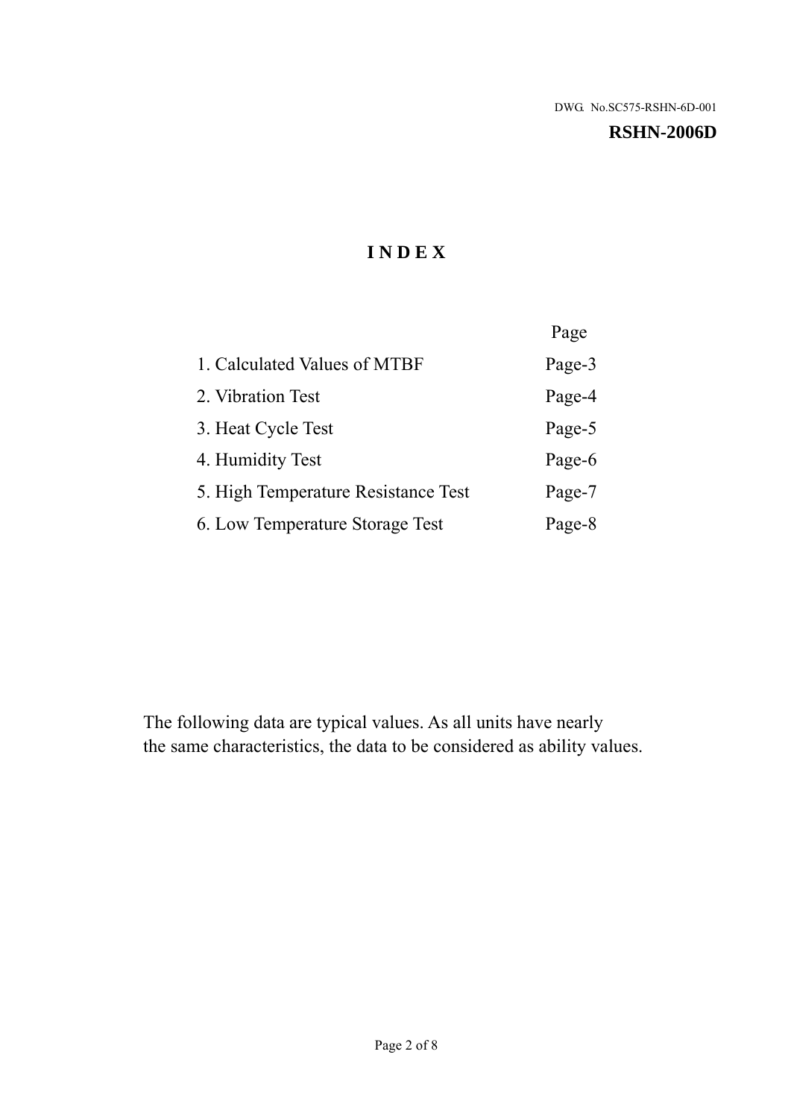#### **RSHN-2006D**

## **I N D E X**

|                                     | Page   |
|-------------------------------------|--------|
| 1. Calculated Values of MTBF        | Page-3 |
| 2. Vibration Test                   | Page-4 |
| 3. Heat Cycle Test                  | Page-5 |
| 4. Humidity Test                    | Page-6 |
| 5. High Temperature Resistance Test | Page-7 |
| 6. Low Temperature Storage Test     | Page-8 |

The following data are typical values. As all units have nearly the same characteristics, the data to be considered as ability values.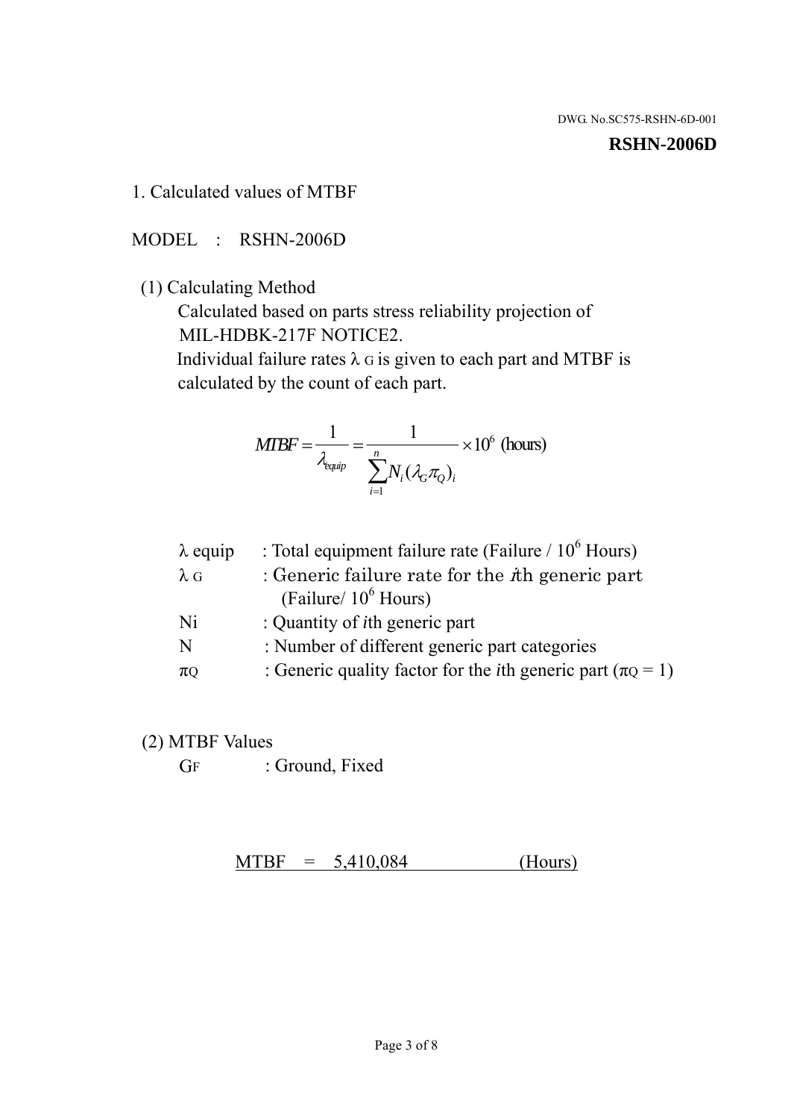#### **RSHN-2006D**

#### 1. Calculated values of MTBF

MODEL : RSHN-2006D

(1) Calculating Method

 Calculated based on parts stress reliability projection of MIL-HDBK-217F NOTICE2.

Individual failure rates  $\lambda$  G is given to each part and MTBF is calculated by the count of each part.

$$
MTBF = \frac{1}{\lambda_{\text{equip}}} = \frac{1}{\sum_{i=1}^{n} N_i (\lambda_G \pi_Q)_i} \times 10^6 \text{ (hours)}
$$

| $\lambda$ equip | : Total equipment failure rate (Failure $/ 10^6$ Hours)                   |
|-----------------|---------------------------------------------------------------------------|
| $\lambda$ G     | : Generic failure rate for the $\hbar$ generic part                       |
|                 | (Failure/ $10^6$ Hours)                                                   |
| Ni              | : Quantity of <i>i</i> th generic part                                    |
| N               | : Number of different generic part categories                             |
| $\pi$ Q         | : Generic quality factor for the <i>i</i> th generic part ( $\pi Q = 1$ ) |

- (2) MTBF Values
	- GF : Ground, Fixed

 $MTBF = 5,410,084$  (Hours)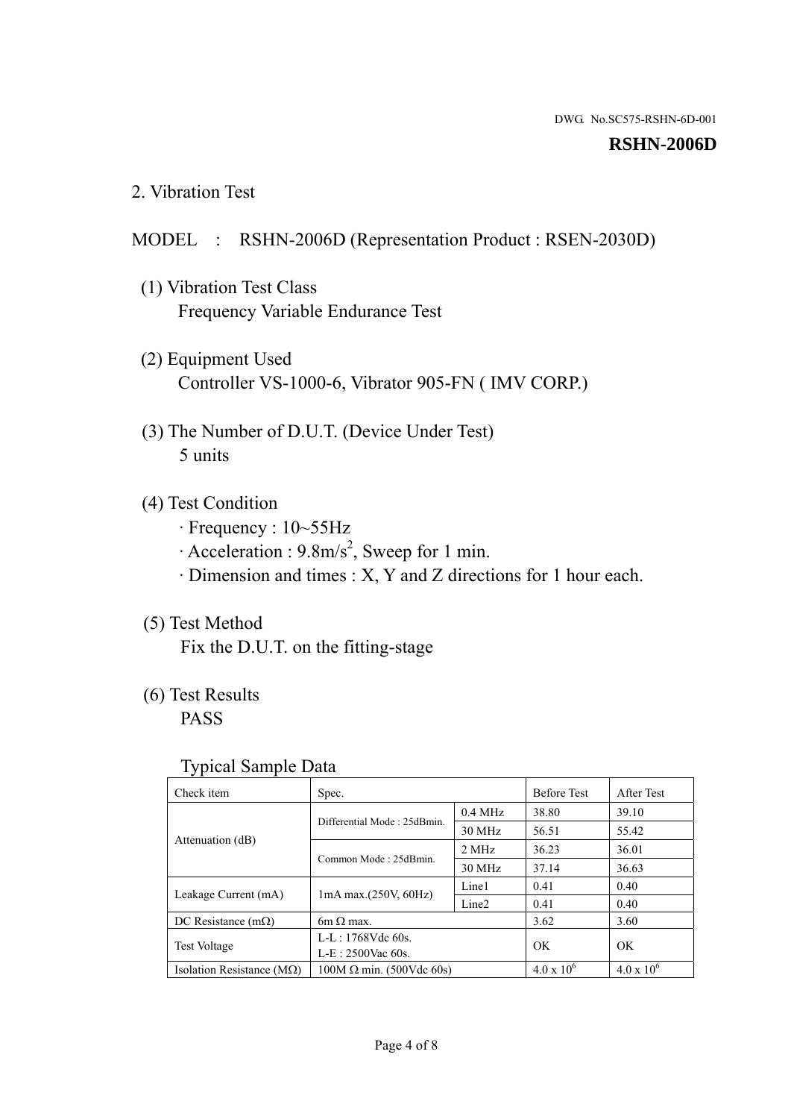#### **RSHN-2006D**

2. Vibration Test

## MODEL : RSHN-2006D (Representation Product : RSEN-2030D)

- (1) Vibration Test Class Frequency Variable Endurance Test
- (2) Equipment Used Controller VS-1000-6, Vibrator 905-FN ( IMV CORP.)
- (3) The Number of D.U.T. (Device Under Test) 5 units
- (4) Test Condition
	- · Frequency : 10~55Hz
	- $\cdot$  Acceleration : 9.8m/s<sup>2</sup>, Sweep for 1 min.
	- · Dimension and times : X, Y and Z directions for 1 hour each.

## (5) Test Method

Fix the D.U.T. on the fitting-stage

## (6) Test Results

PASS

#### Typical Sample Data

| . .                           |                                                         |           |                     |                     |
|-------------------------------|---------------------------------------------------------|-----------|---------------------|---------------------|
| Check item                    | Spec.                                                   |           | <b>Before Test</b>  | After Test          |
| Attenuation (dB)              | Differential Mode: 25dBmin.                             | $0.4$ MHz | 38.80               | 39.10               |
|                               |                                                         | 30 MHz    | 56.51               | 55.42               |
|                               | Common Mode: 25dBmin.                                   | 2 MHz     | 36.23               | 36.01               |
|                               |                                                         | 30 MHz    | 37.14               | 36.63               |
| Leakage Current (mA)          | Line1<br>$1mA$ max. $(250V, 60Hz)$<br>Line <sub>2</sub> |           | 0.41                | 0.40                |
|                               |                                                         |           | 0.41                | 0.40                |
| DC Resistance $(m\Omega)$     | $6m \Omega$ max.                                        |           | 3.62                | 3.60                |
| <b>Test Voltage</b>           | $L-L: 1768Vdc$ 60s.                                     |           | OK                  | OK.                 |
|                               | $L-E$ : 2500Vac 60s.                                    |           |                     |                     |
| Isolation Resistance ( $MQ$ ) | $100M \Omega$ min. (500Vdc 60s)                         |           | $4.0 \times 10^{6}$ | $4.0 \times 10^{6}$ |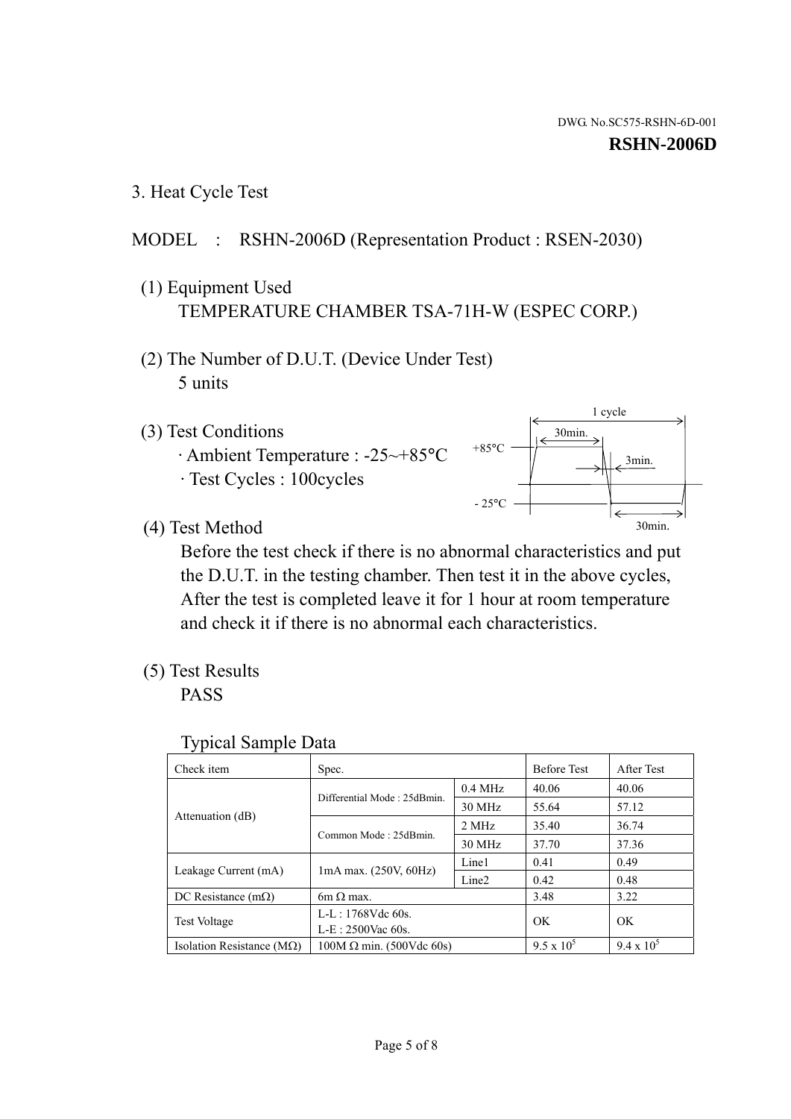1 cycle

30min.

3min.

30min.

3. Heat Cycle Test

## MODEL : RSHN-2006D (Representation Product : RSEN-2030)

- (1) Equipment Used TEMPERATURE CHAMBER TSA-71H-W (ESPEC CORP.)
- (2) The Number of D.U.T. (Device Under Test) 5 units
- (3) Test Conditions
	- · Ambient Temperature : -25~+85°C · Test Cycles : 100cycles
- (4) Test Method

 Before the test check if there is no abnormal characteristics and put the D.U.T. in the testing chamber. Then test it in the above cycles, After the test is completed leave it for 1 hour at room temperature and check it if there is no abnormal each characteristics.

 $+85$ °C

 $-25$ °C

(5) Test Results

PASS

| <b>Typical Sample Data</b> |  |  |
|----------------------------|--|--|
|----------------------------|--|--|

| Check item                    | Spec.                                             |                   | <b>Before Test</b> | After Test        |
|-------------------------------|---------------------------------------------------|-------------------|--------------------|-------------------|
|                               | Differential Mode: 25dBmin.                       | $0.4$ MHz         | 40.06              | 40.06             |
|                               |                                                   | 30 MHz            | 55.64              | 57.12             |
| Attenuation (dB)              | Common Mode: 25dBmin.                             | 2 MHz             | 35.40              | 36.74             |
|                               |                                                   | 30 MHz            | 37.70              | 37.36             |
|                               | $1mA$ max. $(250V, 60Hz)$<br>Leakage Current (mA) | Line1             | 0.41               | 0.49              |
|                               |                                                   | Line <sub>2</sub> | 0.42               | 0.48              |
| DC Resistance $(m\Omega)$     | $6m \Omega$ max.                                  |                   | 3.48               | 3.22              |
| <b>Test Voltage</b>           | $L-L: 1768Vdc$ 60s.                               |                   | OK                 | OK                |
|                               | L-E: 2500Vac 60s.                                 |                   |                    |                   |
| Isolation Resistance ( $MQ$ ) | $100M \Omega$ min. (500Vdc 60s)                   |                   | $9.5 \times 10^5$  | $9.4 \times 10^5$ |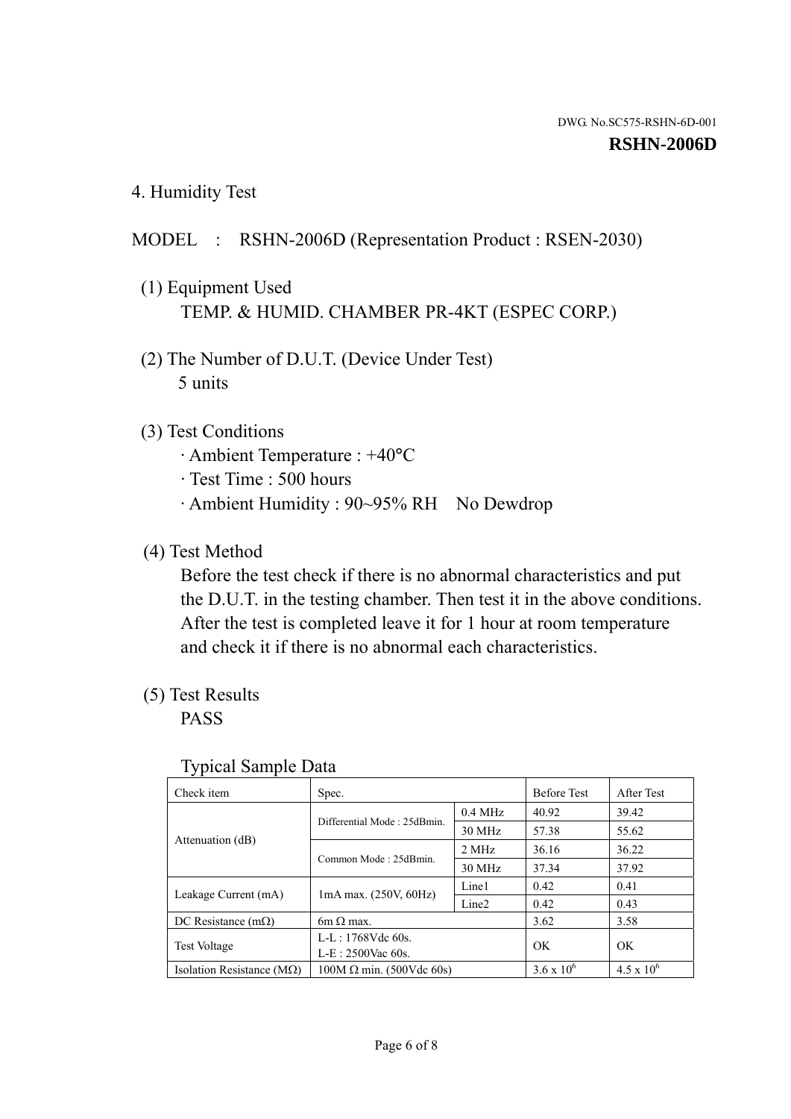4. Humidity Test

## MODEL : RSHN-2006D (Representation Product : RSEN-2030)

- (1) Equipment Used TEMP. & HUMID. CHAMBER PR-4KT (ESPEC CORP.)
- (2) The Number of D.U.T. (Device Under Test) 5 units

### (3) Test Conditions

- · Ambient Temperature : +40°C
- · Test Time : 500 hours
- · Ambient Humidity : 90~95% RH No Dewdrop

## (4) Test Method

 Before the test check if there is no abnormal characteristics and put the D.U.T. in the testing chamber. Then test it in the above conditions. After the test is completed leave it for 1 hour at room temperature and check it if there is no abnormal each characteristics.

## (5) Test Results

PASS

| ╯▴                                 |                                 |                   |                     |                     |
|------------------------------------|---------------------------------|-------------------|---------------------|---------------------|
| Check item                         | Spec.                           |                   | <b>Before Test</b>  | After Test          |
|                                    | Differential Mode: 25dBmin.     | $0.4$ MHz         | 40.92               | 39.42               |
|                                    |                                 | 30 MHz            | 57.38               | 55.62               |
| Attenuation (dB)                   | Common Mode: 25dBmin.           | 2 MHz             | 36.16               | 36.22               |
|                                    |                                 | 30 MHz            | 37.34               | 37.92               |
| Leakage Current (mA)               |                                 | Line1             | 0.42                | 0.41                |
|                                    | $1mA$ max. $(250V, 60Hz)$       | Line <sub>2</sub> | 0.42                | 0.43                |
| DC Resistance $(m\Omega)$          | $6m \Omega$ max.                |                   | 3.62                | 3.58                |
| <b>Test Voltage</b>                | $L-L: 1768Vdc$ 60s.             |                   | OK                  | OK                  |
|                                    | $L-E: 2500$ Vac 60s.            |                   |                     |                     |
| Isolation Resistance ( $M\Omega$ ) | $100M \Omega$ min. (500Vdc 60s) |                   | $3.6 \times 10^{6}$ | $4.5 \times 10^{6}$ |

#### Typical Sample Data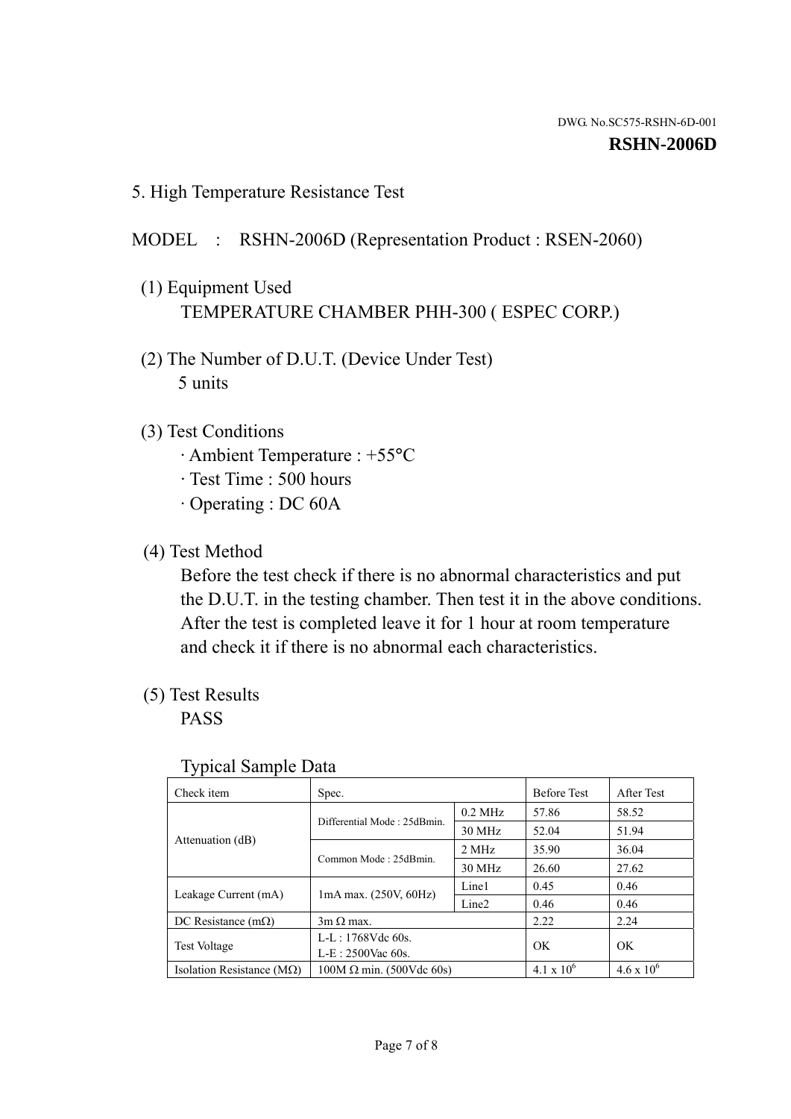5. High Temperature Resistance Test

### MODEL : RSHN-2006D (Representation Product : RSEN-2060)

- (1) Equipment Used TEMPERATURE CHAMBER PHH-300 ( ESPEC CORP.)
- (2) The Number of D.U.T. (Device Under Test) 5 units
- (3) Test Conditions
	- · Ambient Temperature : +55°C
	- · Test Time : 500 hours
	- · Operating : DC 60A
- (4) Test Method

 Before the test check if there is no abnormal characteristics and put the D.U.T. in the testing chamber. Then test it in the above conditions. After the test is completed leave it for 1 hour at room temperature and check it if there is no abnormal each characteristics.

(5) Test Results

PASS

| ╯┸                                 |                                                         |           |                     |                     |
|------------------------------------|---------------------------------------------------------|-----------|---------------------|---------------------|
| Check item                         | Spec.                                                   |           | <b>Before Test</b>  | After Test          |
| Attenuation (dB)                   | Differential Mode: 25dBmin.                             | $0.2$ MHz | 57.86               | 58.52               |
|                                    |                                                         | 30 MHz    | 52.04               | 51.94               |
|                                    | Common Mode: 25dBmin.                                   | 2 MHz     | 35.90               | 36.04               |
|                                    |                                                         | 30 MHz    | 26.60               | 27.62               |
| Leakage Current (mA)               | Line1<br>$1mA$ max. $(250V, 60Hz)$<br>Line <sub>2</sub> |           | 0.45                | 0.46                |
|                                    |                                                         | 0.46      | 0.46                |                     |
| DC Resistance $(m\Omega)$          | $3m \Omega$ max.                                        |           | 2.22                | 2.24                |
| <b>Test Voltage</b>                | $L-L: 1768Vdc$ 60s.                                     |           | OK                  | OK                  |
|                                    | $L-E: 2500$ Vac 60s.                                    |           |                     |                     |
| Isolation Resistance ( $M\Omega$ ) | $100M \Omega$ min. (500Vdc 60s)                         |           | $4.1 \times 10^{6}$ | $4.6 \times 10^{6}$ |

#### Typical Sample Data